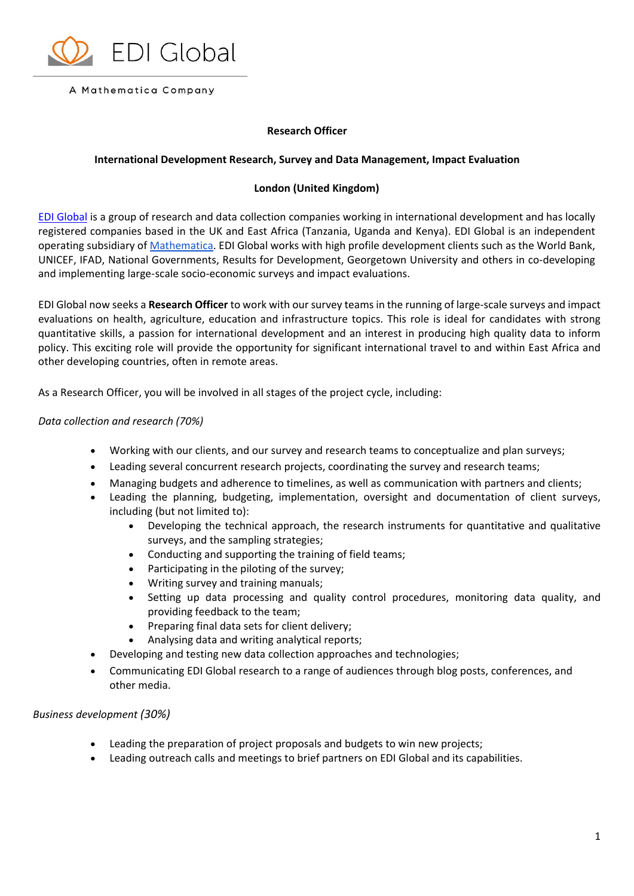

#### A Mathematica Company

# **Research Officer**

## **International Development Research, Survey and Data Management, Impact Evaluation**

## **London (United Kingdom)**

[EDI Global](http://edi-global.com/) is a group of research and data collection companies working in international development and has locally registered companies based in the UK and East Africa (Tanzania, Uganda and Kenya). EDI Global is an independent operating subsidiary of [Mathematica.](https://mathematica-mpr.com/) EDI Global works with high profile development clients such as the World Bank, UNICEF, IFAD, National Governments, Results for Development, Georgetown University and others in co-developing and implementing large-scale socio-economic surveys and impact evaluations.

EDI Global now seeks a **Research Officer** to work with our survey teams in the running of large-scale surveys and impact evaluations on health, agriculture, education and infrastructure topics. This role is ideal for candidates with strong quantitative skills, a passion for international development and an interest in producing high quality data to inform policy. This exciting role will provide the opportunity for significant international travel to and within East Africa and other developing countries, often in remote areas.

As a Research Officer, you will be involved in all stages of the project cycle, including:

### *Data collection and research (70%)*

- Working with our clients, and our survey and research teams to conceptualize and plan surveys;
- Leading several concurrent research projects, coordinating the survey and research teams;
- Managing budgets and adherence to timelines, as well as communication with partners and clients;
- Leading the planning, budgeting, implementation, oversight and documentation of client surveys, including (but not limited to):
	- Developing the technical approach, the research instruments for quantitative and qualitative surveys, and the sampling strategies;
	- Conducting and supporting the training of field teams;
	- Participating in the piloting of the survey;
	- Writing survey and training manuals;
	- Setting up data processing and quality control procedures, monitoring data quality, and providing feedback to the team;
	- Preparing final data sets for client delivery;
	- Analysing data and writing analytical reports;
- Developing and testing new data collection approaches and technologies;
- Communicating EDI Global research to a range of audiences through blog posts, conferences, and other media.

#### *Business development (30%)*

- Leading the preparation of project proposals and budgets to win new projects;
- Leading outreach calls and meetings to brief partners on EDI Global and its capabilities.